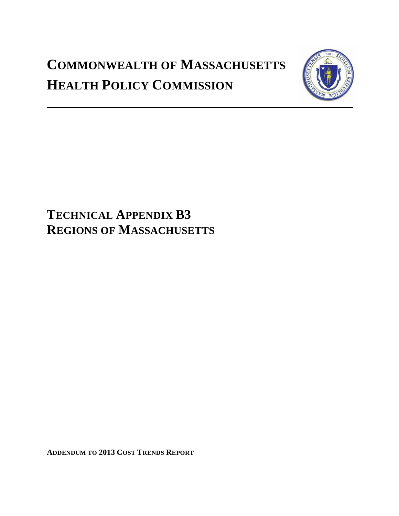# **COMMONWEALTH OF MASSACHUSETTS HEALTH POLICY COMMISSION**



## **TECHNICAL APPENDIX B3 REGIONS OF MASSACHUSETTS**

**ADDENDUM TO 2013 COST TRENDS REPORT**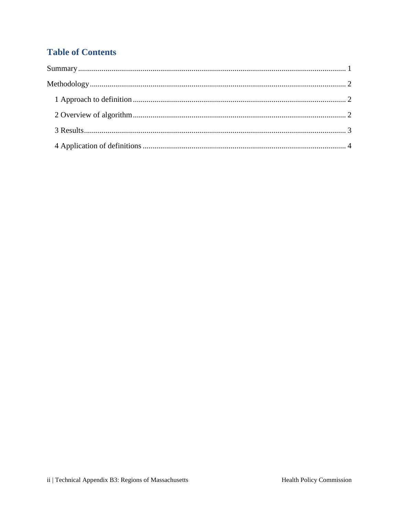## **Table of Contents**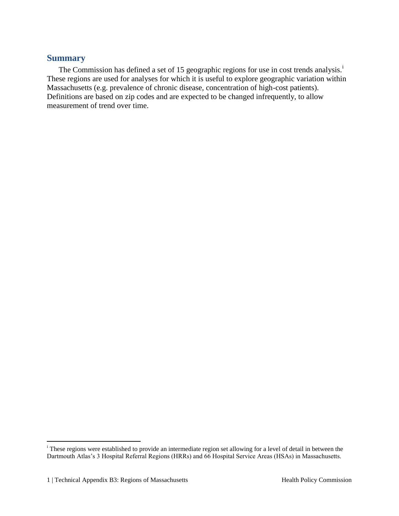## <span id="page-2-0"></span>**Summary**

The Commission has defined a set of 15 geographic regions for use in cost trends analysis.<sup>1</sup> These regions are used for analyses for which it is useful to explore geographic variation within Massachusetts (e.g. prevalence of chronic disease, concentration of high-cost patients). Definitions are based on zip codes and are expected to be changed infrequently, to allow measurement of trend over time.

 $\overline{a}$ 

<sup>&</sup>lt;sup>i</sup> These regions were established to provide an intermediate region set allowing for a level of detail in between the Dartmouth Atlas's 3 Hospital Referral Regions (HRRs) and 66 Hospital Service Areas (HSAs) in Massachusetts.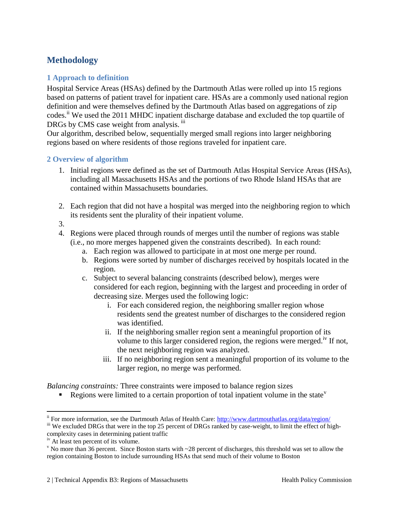## <span id="page-3-0"></span>**Methodology**

## <span id="page-3-1"></span>**1 Approach to definition**

Hospital Service Areas (HSAs) defined by the Dartmouth Atlas were rolled up into 15 regions based on patterns of patient travel for inpatient care. HSAs are a commonly used national region definition and were themselves defined by the Dartmouth Atlas based on aggregations of zip codes.<sup>ii</sup> We used the 2011 MHDC inpatient discharge database and excluded the top quartile of DRGs by CMS case weight from analysis.  $\overline{u}$ 

Our algorithm, described below, sequentially merged small regions into larger neighboring regions based on where residents of those regions traveled for inpatient care.

#### <span id="page-3-2"></span>**2 Overview of algorithm**

- 1. Initial regions were defined as the set of Dartmouth Atlas Hospital Service Areas (HSAs), including all Massachusetts HSAs and the portions of two Rhode Island HSAs that are contained within Massachusetts boundaries.
- 2. Each region that did not have a hospital was merged into the neighboring region to which its residents sent the plurality of their inpatient volume.
- 3.

 $\overline{a}$ 

- 4. Regions were placed through rounds of merges until the number of regions was stable (i.e., no more merges happened given the constraints described). In each round:
	- a. Each region was allowed to participate in at most one merge per round.
	- b. Regions were sorted by number of discharges received by hospitals located in the region.
	- c. Subject to several balancing constraints (described below), merges were considered for each region, beginning with the largest and proceeding in order of decreasing size. Merges used the following logic:
		- i. For each considered region, the neighboring smaller region whose residents send the greatest number of discharges to the considered region was identified.
		- ii. If the neighboring smaller region sent a meaningful proportion of its volume to this larger considered region, the regions were merged.<sup>iv</sup> If not, the next neighboring region was analyzed.
		- iii. If no neighboring region sent a meaningful proportion of its volume to the larger region, no merge was performed.

*Balancing constraints:* Three constraints were imposed to balance region sizes

Regions were limited to a certain proportion of total inpatient volume in the state<sup> $\theta$ </sup>

ii For more information, see the Dartmouth Atlas of Health Care:<http://www.dartmouthatlas.org/data/region/> iii We excluded DRGs that were in the top 25 percent of DRGs ranked by case-weight, to limit the effect of high-

complexity cases in determining patient traffic

iv At least ten percent of its volume.

<sup>&</sup>lt;sup>v</sup> No more than 36 percent. Since Boston starts with  $\sim$  28 percent of discharges, this threshold was set to allow the region containing Boston to include surrounding HSAs that send much of their volume to Boston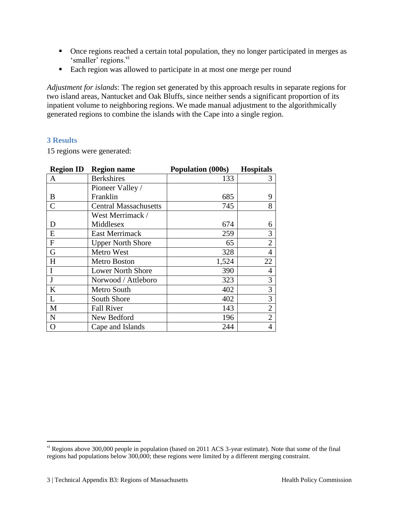- Once regions reached a certain total population, they no longer participated in merges as 'smaller' regions.<sup>vi</sup>
- Each region was allowed to participate in at most one merge per round

*Adjustment for islands*: The region set generated by this approach results in separate regions for two island areas, Nantucket and Oak Bluffs, since neither sends a significant proportion of its inpatient volume to neighboring regions. We made manual adjustment to the algorithmically generated regions to combine the islands with the Cape into a single region.

### <span id="page-4-0"></span>**3 Results**

<span id="page-4-1"></span> $\overline{a}$ 

15 regions were generated:

| <b>Region ID</b>          | <b>Region name</b>           | Population (000s) | <b>Hospitals</b> |
|---------------------------|------------------------------|-------------------|------------------|
| A                         | <b>Berkshires</b>            | 133               | 3                |
|                           | Pioneer Valley /             |                   |                  |
| B                         | Franklin                     | 685               | 9                |
| $\overline{C}$            | <b>Central Massachusetts</b> | 745               | 8                |
|                           | West Merrimack /             |                   |                  |
| D                         | Middlesex                    | 674               | 6                |
| E                         | <b>East Merrimack</b>        | 259               | 3                |
| $\boldsymbol{\mathrm{F}}$ | <b>Upper North Shore</b>     | 65                | $\overline{2}$   |
| G                         | Metro West                   | 328               | $\overline{4}$   |
| $H_{\rm}$                 | Metro Boston                 | 1,524             | 22               |
|                           | <b>Lower North Shore</b>     | 390               | 4                |
| J                         | Norwood / Attleboro          | 323               | 3                |
| K                         | Metro South                  | 402               | 3                |
| L                         | South Shore                  | 402               | 3                |
| M                         | <b>Fall River</b>            | 143               | $\overline{2}$   |
| $\mathbf N$               | New Bedford                  | 196               | $\overline{2}$   |
| O                         | Cape and Islands             | 244               | 4                |

 $v<sup>i</sup>$  Regions above 300,000 people in population (based on 2011 ACS 3-year estimate). Note that some of the final regions had populations below 300,000; these regions were limited by a different merging constraint.